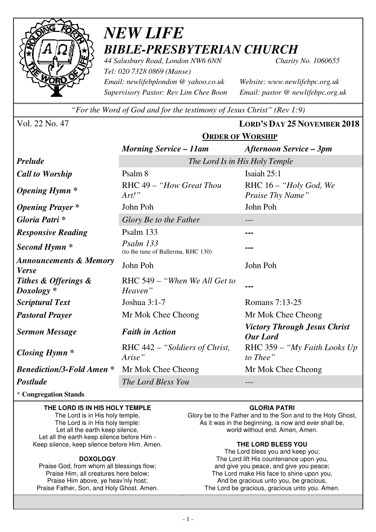

# *NEW LIFE BIBLE-PRESBYTERIAN CHURCH*

*44 Salusbury Road, London NW6 6NN Charity No. 1060655 Tel: 020 7328 0869 (Manse) Email: newlifebplondon @ yahoo.co.uk Website: www.newlifebpc.org.uk Supervisory Pastor: Rev Lim Chee Boon Email: pastor @ newlifebpc.org.uk* 

*"For the Word of God and for the testimony of Jesus Christ" (Rev 1:9)*

**ORDER OF WORSHIP**

Vol. 22 No. 47 **LORD'S DAY 25 NOVEMBER 2018**

|                                                   | ONDER OF THORSHIP                               |                                                        |  |
|---------------------------------------------------|-------------------------------------------------|--------------------------------------------------------|--|
|                                                   | <b>Morning Service – 11am</b>                   | <b>Afternoon Service – 3pm</b>                         |  |
| <b>Prelude</b>                                    | The Lord Is in His Holy Temple                  |                                                        |  |
| <b>Call to Worship</b>                            | Psalm 8                                         | Isaiah 25:1                                            |  |
| <b>Opening Hymn</b> *                             | RHC 49 - "How Great Thou<br>Art.'               | RHC 16 - "Holy God, We<br>Praise Thy Name"             |  |
| <b>Opening Prayer</b> *                           | John Poh                                        | John Poh                                               |  |
| Gloria Patri*                                     | Glory Be to the Father                          |                                                        |  |
| <b>Responsive Reading</b>                         | Psalm 133                                       | ---                                                    |  |
| Second Hymn <sup>*</sup>                          | Psalm 133<br>(to the tune of Ballerma, RHC 130) |                                                        |  |
| <b>Announcements &amp; Memory</b><br><b>Verse</b> | John Poh                                        | John Poh                                               |  |
| Tithes & Offerings &<br>$Doxology *$              | RHC 549 – "When We All Get to<br>Heaven"        |                                                        |  |
| <b>Scriptural Text</b>                            | Joshua 3:1-7                                    | Romans 7:13-25                                         |  |
| <b>Pastoral Prayer</b>                            | Mr Mok Chee Cheong                              | Mr Mok Chee Cheong                                     |  |
| <b>Sermon Message</b>                             | <b>Faith in Action</b>                          | <b>Victory Through Jesus Christ</b><br><b>Our Lord</b> |  |
| <b>Closing Hymn</b> *                             | RHC 442 – "Soldiers of Christ,<br>Arise"        | RHC 359 – "My Faith Looks Up"<br>to Thee"              |  |
| <b>Benediction/3-Fold Amen *</b>                  | Mr Mok Chee Cheong                              | Mr Mok Chee Cheong                                     |  |
| <b>Postlude</b>                                   | The Lord Bless You                              |                                                        |  |

\* **Congregation Stands** 

### **THE LORD IS IN HIS HOLY TEMPLE**

The Lord is in His holy temple, The Lord is in His holy temple: Let all the earth keep silence, Let all the earth keep silence before Him - Keep silence, keep silence before Him. Amen.

### **DOXOLOGY**

Praise God, from whom all blessings flow; Praise Him, all creatures here below; Praise Him above, ye heav'nly host; Praise Father, Son, and Holy Ghost. Amen.

### **GLORIA PATRI**

Glory be to the Father and to the Son and to the Holy Ghost, As it was in the beginning, is now and ever shall be, world without end. Amen, Amen.

### **THE LORD BLESS YOU**

The Lord bless you and keep you; The Lord lift His countenance upon you, and give you peace, and give you peace; The Lord make His face to shine upon you, And be gracious unto you, be gracious, The Lord be gracious, gracious unto you. Amen.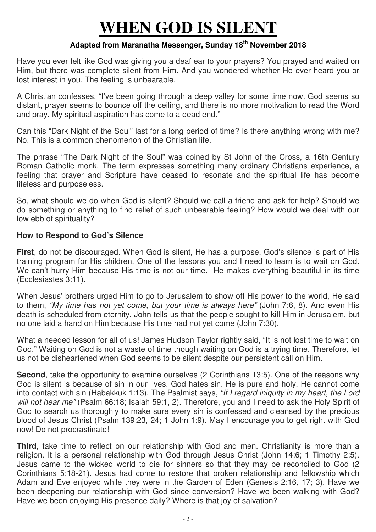# **WHEN GOD IS SILENT**

## **Adapted from Maranatha Messenger, Sunday 18th November 2018**

Have you ever felt like God was giving you a deaf ear to your prayers? You prayed and waited on Him, but there was complete silent from Him. And you wondered whether He ever heard you or lost interest in you. The feeling is unbearable.

A Christian confesses, "I've been going through a deep valley for some time now. God seems so distant, prayer seems to bounce off the ceiling, and there is no more motivation to read the Word and pray. My spiritual aspiration has come to a dead end."

Can this "Dark Night of the Soul" last for a long period of time? Is there anything wrong with me? No. This is a common phenomenon of the Christian life.

The phrase "The Dark Night of the Soul" was coined by St John of the Cross, a 16th Century Roman Catholic monk. The term expresses something many ordinary Christians experience, a feeling that prayer and Scripture have ceased to resonate and the spiritual life has become lifeless and purposeless.

So, what should we do when God is silent? Should we call a friend and ask for help? Should we do something or anything to find relief of such unbearable feeling? How would we deal with our low ebb of spirituality?

### **How to Respond to God's Silence**

**First**, do not be discouraged. When God is silent, He has a purpose. God's silence is part of His training program for His children. One of the lessons you and I need to learn is to wait on God. We can't hurry Him because His time is not our time. He makes everything beautiful in its time (Ecclesiastes 3:11).

When Jesus' brothers urged Him to go to Jerusalem to show off His power to the world, He said to them, "My time has not yet come, but your time is always here" (John 7:6, 8). And even His death is scheduled from eternity. John tells us that the people sought to kill Him in Jerusalem, but no one laid a hand on Him because His time had not yet come (John 7:30).

What a needed lesson for all of us! James Hudson Taylor rightly said, "It is not lost time to wait on God." Waiting on God is not a waste of time though waiting on God is a trying time. Therefore, let us not be disheartened when God seems to be silent despite our persistent call on Him.

**Second**, take the opportunity to examine ourselves (2 Corinthians 13:5). One of the reasons why God is silent is because of sin in our lives. God hates sin. He is pure and holy. He cannot come into contact with sin (Habakkuk 1:13). The Psalmist says, "If I regard iniquity in my heart, the Lord will not hear me" (Psalm 66:18; Isaiah 59:1, 2). Therefore, you and I need to ask the Holy Spirit of God to search us thoroughly to make sure every sin is confessed and cleansed by the precious blood of Jesus Christ (Psalm 139:23, 24; 1 John 1:9). May I encourage you to get right with God now! Do not procrastinate!

**Third**, take time to reflect on our relationship with God and men. Christianity is more than a religion. It is a personal relationship with God through Jesus Christ (John 14:6; 1 Timothy 2:5). Jesus came to the wicked world to die for sinners so that they may be reconciled to God (2 Corinthians 5:18-21). Jesus had come to restore that broken relationship and fellowship which Adam and Eve enjoyed while they were in the Garden of Eden (Genesis 2:16, 17; 3). Have we been deepening our relationship with God since conversion? Have we been walking with God? Have we been enjoying His presence daily? Where is that joy of salvation?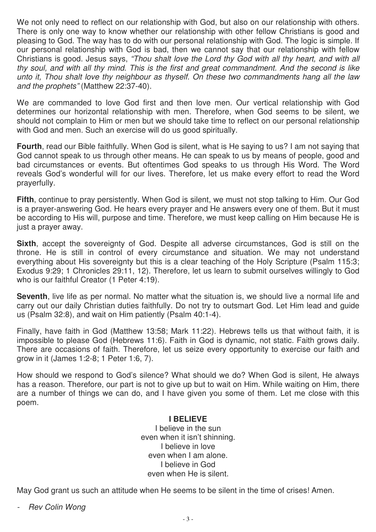We not only need to reflect on our relationship with God, but also on our relationship with others. There is only one way to know whether our relationship with other fellow Christians is good and pleasing to God. The way has to do with our personal relationship with God. The logic is simple. If our personal relationship with God is bad, then we cannot say that our relationship with fellow Christians is good. Jesus says, "Thou shalt love the Lord thy God with all thy heart, and with all thy soul, and with all thy mind. This is the first and great commandment. And the second is like unto it, Thou shalt love thy neighbour as thyself. On these two commandments hang all the law and the prophets" (Matthew 22:37-40).

We are commanded to love God first and then love men. Our vertical relationship with God determines our horizontal relationship with men. Therefore, when God seems to be silent, we should not complain to Him or men but we should take time to reflect on our personal relationship with God and men. Such an exercise will do us good spiritually.

**Fourth**, read our Bible faithfully. When God is silent, what is He saying to us? I am not saying that God cannot speak to us through other means. He can speak to us by means of people, good and bad circumstances or events. But oftentimes God speaks to us through His Word. The Word reveals God's wonderful will for our lives. Therefore, let us make every effort to read the Word prayerfully.

**Fifth**, continue to pray persistently. When God is silent, we must not stop talking to Him. Our God is a prayer-answering God. He hears every prayer and He answers every one of them. But it must be according to His will, purpose and time. Therefore, we must keep calling on Him because He is just a prayer away.

**Sixth**, accept the sovereignty of God. Despite all adverse circumstances, God is still on the throne. He is still in control of every circumstance and situation. We may not understand everything about His sovereignty but this is a clear teaching of the Holy Scripture (Psalm 115:3; Exodus 9:29; 1 Chronicles 29:11, 12). Therefore, let us learn to submit ourselves willingly to God who is our faithful Creator (1 Peter 4:19).

**Seventh**, live life as per normal. No matter what the situation is, we should live a normal life and carry out our daily Christian duties faithfully. Do not try to outsmart God. Let Him lead and guide us (Psalm 32:8), and wait on Him patiently (Psalm 40:1-4).

Finally, have faith in God (Matthew 13:58; Mark 11:22). Hebrews tells us that without faith, it is impossible to please God (Hebrews 11:6). Faith in God is dynamic, not static. Faith grows daily. There are occasions of faith. Therefore, let us seize every opportunity to exercise our faith and grow in it (James 1:2-8; 1 Peter 1:6, 7).

How should we respond to God's silence? What should we do? When God is silent, He always has a reason. Therefore, our part is not to give up but to wait on Him. While waiting on Him, there are a number of things we can do, and I have given you some of them. Let me close with this poem.

### **I BELIEVE**

I believe in the sun even when it isn't shinning. I believe in love even when I am alone. I believe in God even when He is silent.

May God grant us such an attitude when He seems to be silent in the time of crises! Amen.

- Rev Colin Wong